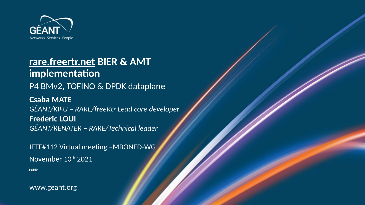

# **[rare.freertr.net](http://rare.freertr.net/) BIER & AMT implementation** P4 BMv2, TOFINO & DPDK dataplane **Csaba MATE** *GÉANT/KIFU – RARE/freeRtr Lead core developer* **Frederic LOUI** *GÉANT/RENATER – RARE/Technical leader*

IETF#112 Virtual meeting –MBONED-WG November 10th 2021 Public

www.geant.org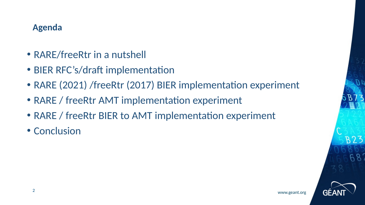#### **Agenda**

- RARE/freeRtr in a nutshell
- BIER RFC's/draft implementation
- RARE (2021) /freeRtr (2017) BIER implementation experiment
- RARE / freeRtr AMT implementation experiment
- RARE / freeRtr BIER to AMT implementation experiment
- Conclusion

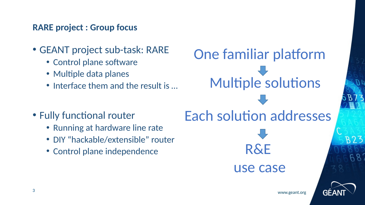#### **RARE project : Group focus**

- GEANT project sub-task: RARE
	- Control plane software
	- Multiple data planes
	- Interface them and the result is …



- Running at hardware line rate
- DIY "hackable/extensible" router
- Control plane independence

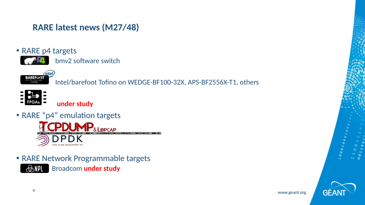#### **RARE latest news (M27/48)**



bmv2 software switch



BAREFOOT **INTEL**<br>Intel/barefoot Tofino on WEDGE-BF100-32X, APS-BF2556X-T1, others



 **under study** 

• RARE "p4" emulation targets



• RARE Network Programmable targets **BRILL** Broadcom under study



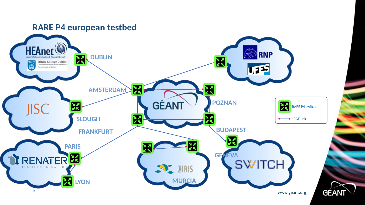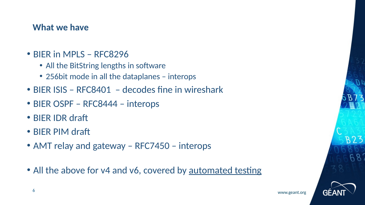#### **What we have**

- BIER in MPLS RFC8296
	- All the BitString lengths in software
	- 256bit mode in all the dataplanes interops
- BIER ISIS RFC8401 decodes fine in wireshark
- BIER OSPF RFC8444 interops
- BIER IDR draft
- BIER PIM draft
- AMT relay and gateway RFC7450 interops
- All the above for v4 and v6, covered by [automated testing](http://www.freertr.net/tests.html)

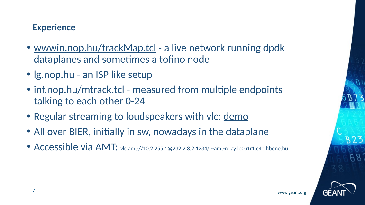## **Experience**

- [wwwin.nop.hu/trackMap.tcl](http://wwwin.nop.hu/trackMap.tcl)  a live network running dpdk dataplanes and sometimes a tofino node
- Ig.nop.hu an ISP like [setup](http://inf.nop.hu/lsatr.tcl)
- [inf.nop.hu/mtrack.tcl](http://inf.nop.hu/mtrack.tcl)  measured from multiple endpoints talking to each other 0-24
- Regular streaming to loudspeakers with vlc: [demo](https://files.fm/u/nt6thmk8g#/view/yd2bvxzvk)
- All over BIER, initially in sw, nowadays in the dataplane
- Accessible via AMT: vlc amt://10.2.255.1@232.2.3.2:1234/ --amt-relay lo0.rtr1.c4e.hbone.hu

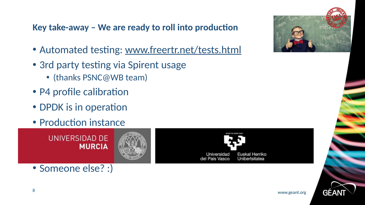**Key take-away – We are ready to roll into production**

- Automated testing: [www.freertr.net/tests.html](http://www.freertr.net/tests.html)
- 3rd party testing via Spirent usage
	- (thanks PSNC@WB team)
- P4 profile calibration
- DPDK is in operation
- Production instance

• Someone else? :)





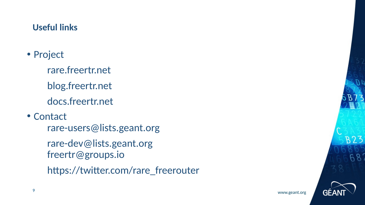#### **Useful links**

- Project
	- rare.freertr.net
	- blog.freertr.net
	- docs.freertr.net
- Contact
	- rare-users@lists.geant.org
	- [rare-dev@lists.geant.org](mailto:rare-dev@lists.geant.org) freertr@groups.io
	- https://twitter.com/rare\_freerouter

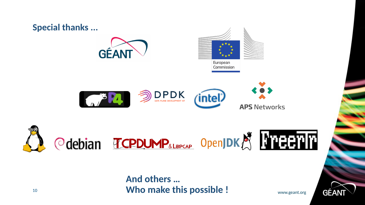

## <sup>10</sup> www.geant.org **Who make this possible !And others …**